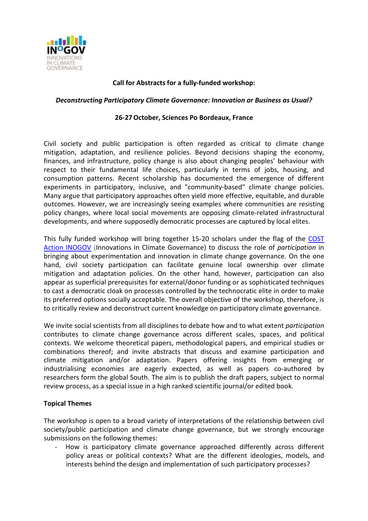

# **Call for Abstracts for a fully-funded workshop:**

#### *Deconstructing Participatory Climate Governance: Innovation or Business as Usual?*

#### **26-27October, Sciences Po Bordeaux, France**

Civil society and public participation is often regarded as critical to climate change mitigation, adaptation, and resilience policies. Beyond decisions shaping the economy, finances, and infrastructure, policy change is also about changing peoples' behaviour with respect to their fundamental life choices, particularly in terms of jobs, housing, and consumption patterns. Recent scholarship has documented the emergence of different experiments in participatory, inclusive, and "community-based" climate change policies. Many argue that participatory approaches often yield more effective, equitable, and durable outcomes. However, we are increasingly seeing examples where communities are resisting policy changes, where local social movements are opposing climate-related infrastructural developments, and where supposedly democratic processes are captured by local elites.

This fully funded workshop will bring together 15-20 scholars under the flag of the COST [Action INOGOV](http://www.inogov.eu/) (Innovations in Climate Governance) to discuss the role of *participation* in bringing about experimentation and innovation in climate change governance. On the one hand, civil society participation can facilitate genuine local ownership over climate mitigation and adaptation policies. On the other hand, however, participation can also appear as superficial prerequisites for external/donor funding or as sophisticated techniques to cast a democratic cloak on processes controlled by the technocratic elite in order to make its preferred options socially acceptable. The overall objective of the workshop, therefore, is to critically review and deconstruct current knowledge on participatory climate governance.

We invite social scientists from all disciplines to debate how and to what extent *participation* contributes to climate change governance across different scales, spaces, and political contexts. We welcome theoretical papers, methodological papers, and empirical studies or combinations thereof; and invite abstracts that discuss and examine participation and climate mitigation and/or adaptation. Papers offering insights from emerging or industrialising economies are eagerly expected, as well as papers co-authored by researchers form the global South. The aim is to publish the draft papers, subject to normal review process, as a special issue in a high ranked scientific journal/or edited book.

### **Topical Themes**

The workshop is open to a broad variety of interpretations of the relationship between civil society/public participation and climate change governance, but we strongly encourage submissions on the following themes:

- How is participatory climate governance approached differently across different policy areas or political contexts? What are the different ideologies, models, and interests behind the design and implementation of such participatory processes?